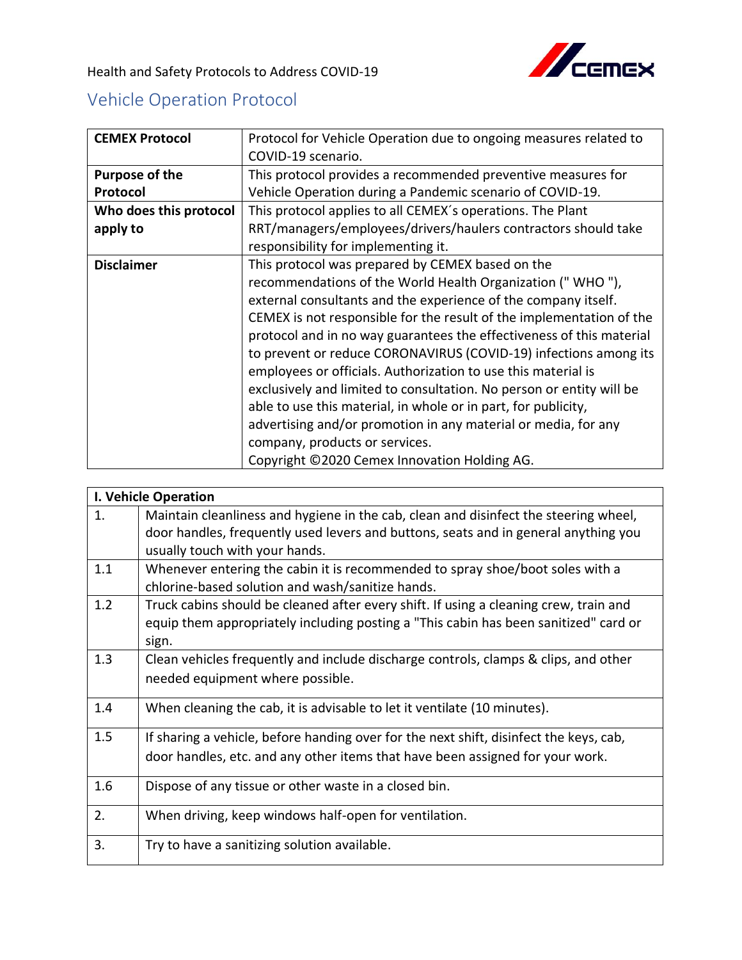

Health and Safety Protocols to Address COVID-19

## Vehicle Operation Protocol

| <b>CEMEX Protocol</b>  | Protocol for Vehicle Operation due to ongoing measures related to    |
|------------------------|----------------------------------------------------------------------|
|                        | COVID-19 scenario.                                                   |
| Purpose of the         | This protocol provides a recommended preventive measures for         |
| Protocol               | Vehicle Operation during a Pandemic scenario of COVID-19.            |
| Who does this protocol | This protocol applies to all CEMEX's operations. The Plant           |
| apply to               | RRT/managers/employees/drivers/haulers contractors should take       |
|                        | responsibility for implementing it.                                  |
| <b>Disclaimer</b>      | This protocol was prepared by CEMEX based on the                     |
|                        | recommendations of the World Health Organization ("WHO"),            |
|                        | external consultants and the experience of the company itself.       |
|                        | CEMEX is not responsible for the result of the implementation of the |
|                        | protocol and in no way guarantees the effectiveness of this material |
|                        | to prevent or reduce CORONAVIRUS (COVID-19) infections among its     |
|                        | employees or officials. Authorization to use this material is        |
|                        | exclusively and limited to consultation. No person or entity will be |
|                        | able to use this material, in whole or in part, for publicity,       |
|                        | advertising and/or promotion in any material or media, for any       |
|                        | company, products or services.                                       |
|                        | Copyright ©2020 Cemex Innovation Holding AG.                         |

| <b>I. Vehicle Operation</b> |                                                                                                                                                                                                               |  |
|-----------------------------|---------------------------------------------------------------------------------------------------------------------------------------------------------------------------------------------------------------|--|
| 1.                          | Maintain cleanliness and hygiene in the cab, clean and disinfect the steering wheel,<br>door handles, frequently used levers and buttons, seats and in general anything you<br>usually touch with your hands. |  |
| 1.1                         | Whenever entering the cabin it is recommended to spray shoe/boot soles with a<br>chlorine-based solution and wash/sanitize hands.                                                                             |  |
| 1.2                         | Truck cabins should be cleaned after every shift. If using a cleaning crew, train and<br>equip them appropriately including posting a "This cabin has been sanitized" card or<br>sign.                        |  |
| 1.3                         | Clean vehicles frequently and include discharge controls, clamps & clips, and other<br>needed equipment where possible.                                                                                       |  |
| 1.4                         | When cleaning the cab, it is advisable to let it ventilate (10 minutes).                                                                                                                                      |  |
| 1.5                         | If sharing a vehicle, before handing over for the next shift, disinfect the keys, cab,<br>door handles, etc. and any other items that have been assigned for your work.                                       |  |
| 1.6                         | Dispose of any tissue or other waste in a closed bin.                                                                                                                                                         |  |
| 2.                          | When driving, keep windows half-open for ventilation.                                                                                                                                                         |  |
| 3.                          | Try to have a sanitizing solution available.                                                                                                                                                                  |  |